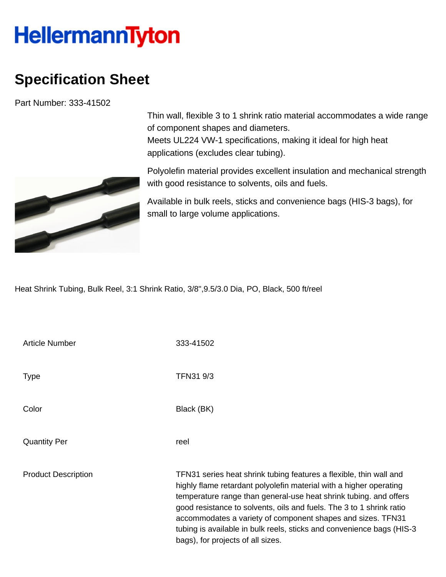## **HellermannTyton**

## **Specification Sheet**

Part Number: 333-41502



Thin wall, flexible 3 to 1 shrink ratio material accommodates a wide range of component shapes and diameters. Meets UL224 VW-1 specifications, making it ideal for high heat applications (excludes clear tubing).

Polyolefin material provides excellent insulation and mechanical strength with good resistance to solvents, oils and fuels.

Available in bulk reels, sticks and convenience bags (HIS-3 bags), for small to large volume applications.

Heat Shrink Tubing, Bulk Reel, 3:1 Shrink Ratio, 3/8",9.5/3.0 Dia, PO, Black, 500 ft/reel

| <b>Article Number</b>      | 333-41502                                                                                                                                                                                                                                                                                                                                                                                                                                                           |
|----------------------------|---------------------------------------------------------------------------------------------------------------------------------------------------------------------------------------------------------------------------------------------------------------------------------------------------------------------------------------------------------------------------------------------------------------------------------------------------------------------|
| <b>Type</b>                | TFN31 9/3                                                                                                                                                                                                                                                                                                                                                                                                                                                           |
| Color                      | Black (BK)                                                                                                                                                                                                                                                                                                                                                                                                                                                          |
| <b>Quantity Per</b>        | reel                                                                                                                                                                                                                                                                                                                                                                                                                                                                |
| <b>Product Description</b> | TFN31 series heat shrink tubing features a flexible, thin wall and<br>highly flame retardant polyolefin material with a higher operating<br>temperature range than general-use heat shrink tubing. and offers<br>good resistance to solvents, oils and fuels. The 3 to 1 shrink ratio<br>accommodates a variety of component shapes and sizes. TFN31<br>tubing is available in bulk reels, sticks and convenience bags (HIS-3)<br>bags), for projects of all sizes. |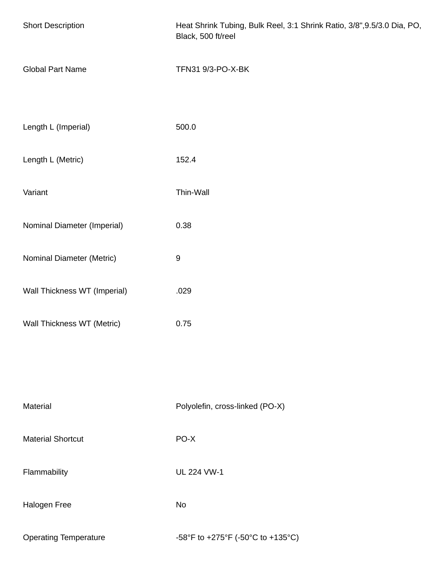| <b>Short Description</b>     | Heat Shrink Tubing, Bulk Reel, 3:1 Shrink Ratio, 3/8", 9.5/3.0 Dia, PO,<br>Black, 500 ft/reel |  |
|------------------------------|-----------------------------------------------------------------------------------------------|--|
| <b>Global Part Name</b>      | TFN31 9/3-PO-X-BK                                                                             |  |
| Length L (Imperial)          | 500.0                                                                                         |  |
| Length L (Metric)            | 152.4                                                                                         |  |
| Variant                      | Thin-Wall                                                                                     |  |
| Nominal Diameter (Imperial)  | 0.38                                                                                          |  |
| Nominal Diameter (Metric)    | $\boldsymbol{9}$                                                                              |  |
| Wall Thickness WT (Imperial) | .029                                                                                          |  |
| Wall Thickness WT (Metric)   | 0.75                                                                                          |  |
|                              |                                                                                               |  |
| Material                     | Polyolefin, cross-linked (PO-X)                                                               |  |
| <b>Material Shortcut</b>     | PO-X                                                                                          |  |
| Flammability                 | <b>UL 224 VW-1</b>                                                                            |  |
| Halogen Free                 | No                                                                                            |  |
| <b>Operating Temperature</b> | -58°F to +275°F (-50°C to +135°C)                                                             |  |